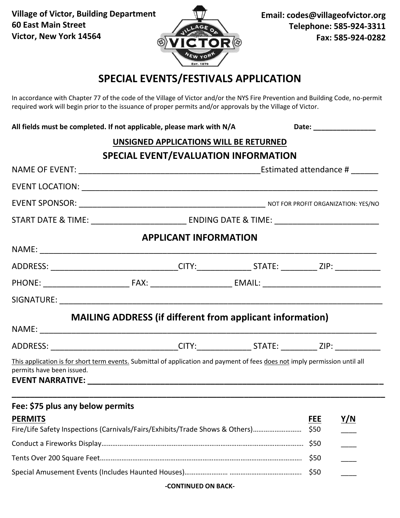**Village of Victor, Building Department 60 East Main Street Victor, New York 14564**



**Email: codes@villageofvictor.org Telephone: 585-924-3311 Fax: 585-924-0282**

# **SPECIAL EVENTS/FESTIVALS APPLICATION**

In accordance with Chapter 77 of the code of the Village of Victor and/or the NYS Fire Prevention and Building Code, no-permit required work will begin prior to the issuance of proper permits and/or approvals by the Village of Victor.

| All fields must be completed. If not applicable, please mark with N/A                                                                                    |  |                              | Date: ________________                 |                    |            |  |  |
|----------------------------------------------------------------------------------------------------------------------------------------------------------|--|------------------------------|----------------------------------------|--------------------|------------|--|--|
|                                                                                                                                                          |  |                              | UNSIGNED APPLICATIONS WILL BE RETURNED |                    |            |  |  |
|                                                                                                                                                          |  |                              | SPECIAL EVENT/EVALUATION INFORMATION   |                    |            |  |  |
|                                                                                                                                                          |  |                              |                                        |                    |            |  |  |
|                                                                                                                                                          |  |                              |                                        |                    |            |  |  |
|                                                                                                                                                          |  |                              |                                        |                    |            |  |  |
|                                                                                                                                                          |  |                              |                                        |                    |            |  |  |
|                                                                                                                                                          |  | <b>APPLICANT INFORMATION</b> |                                        |                    |            |  |  |
|                                                                                                                                                          |  |                              |                                        |                    |            |  |  |
| ADDRESS: _________________________________CITY:_________________STATE: ____________ZIP: ____________                                                     |  |                              |                                        |                    |            |  |  |
|                                                                                                                                                          |  |                              |                                        |                    |            |  |  |
|                                                                                                                                                          |  |                              |                                        |                    |            |  |  |
| <b>MAILING ADDRESS (if different from applicant information)</b>                                                                                         |  |                              |                                        |                    |            |  |  |
|                                                                                                                                                          |  |                              |                                        |                    |            |  |  |
| ADDRESS: ________________________________CITY:________________STATE: ____________ZIP: _____________                                                      |  |                              |                                        |                    |            |  |  |
| This application is for short term events. Submittal of application and payment of fees does not imply permission until all<br>permits have been issued. |  |                              |                                        |                    |            |  |  |
| Fee: \$75 plus any below permits                                                                                                                         |  |                              |                                        |                    |            |  |  |
| <b>PERMITS</b><br>Fire/Life Safety Inspections (Carnivals/Fairs/Exhibits/Trade Shows & Others)                                                           |  |                              |                                        | <u>FEE</u><br>\$50 | <u>Y/N</u> |  |  |
|                                                                                                                                                          |  |                              |                                        | \$50               |            |  |  |
|                                                                                                                                                          |  |                              |                                        | \$50               |            |  |  |
|                                                                                                                                                          |  |                              |                                        | \$50               |            |  |  |

#### **-CONTINUED ON BACK-**